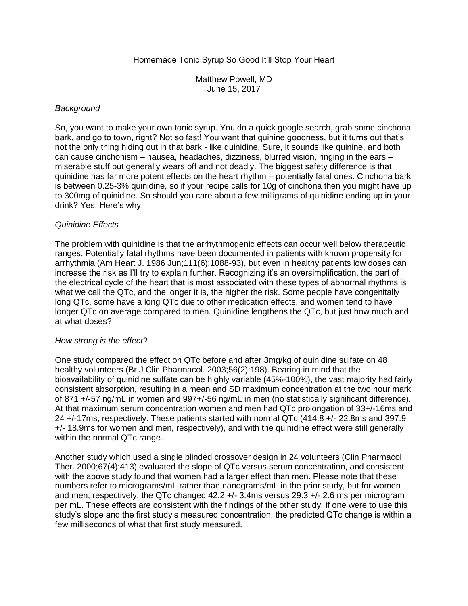# Homemade Tonic Syrup So Good It'll Stop Your Heart

Matthew Powell, MD June 15, 2017

#### *Background*

So, you want to make your own tonic syrup. You do a quick google search, grab some cinchona bark, and go to town, right? Not so fast! You want that quinine goodness, but it turns out that's not the only thing hiding out in that bark - like quinidine. Sure, it sounds like quinine, and both can cause cinchonism – nausea, headaches, dizziness, blurred vision, ringing in the ears – miserable stuff but generally wears off and not deadly. The biggest safety difference is that quinidine has far more potent effects on the heart rhythm – potentially fatal ones. Cinchona bark is between 0.25-3% quinidine, so if your recipe calls for 10g of cinchona then you might have up to 300mg of quinidine. So should you care about a few milligrams of quinidine ending up in your drink? Yes. Here's why:

## *Quinidine Effects*

The problem with quinidine is that the arrhythmogenic effects can occur well below therapeutic ranges. Potentially fatal rhythms have been documented in patients with known propensity for arrhythmia (Am Heart J. 1986 Jun;111(6):1088-93), but even in healthy patients low doses can increase the risk as I'll try to explain further. Recognizing it's an oversimplification, the part of the electrical cycle of the heart that is most associated with these types of abnormal rhythms is what we call the QTc, and the longer it is, the higher the risk. Some people have congenitally long QTc, some have a long QTc due to other medication effects, and women tend to have longer QTc on average compared to men. Quinidine lengthens the QTc, but just how much and at what doses?

## *How strong is the effect*?

One study compared the effect on QTc before and after 3mg/kg of quinidine sulfate on 48 healthy volunteers (Br J Clin Pharmacol. 2003;56(2):198). Bearing in mind that the bioavailability of quinidine sulfate can be highly variable (45%-100%), the vast majority had fairly consistent absorption, resulting in a mean and SD maximum concentration at the two hour mark of 871 +/-57 ng/mL in women and 997+/-56 ng/mL in men (no statistically significant difference). At that maximum serum concentration women and men had QTc prolongation of 33+/-16ms and 24 +/-17ms, respectively. These patients started with normal QTc (414.8 +/- 22.8ms and 397.9 +/- 18.9ms for women and men, respectively), and with the quinidine effect were still generally within the normal QTc range.

Another study which used a single blinded crossover design in 24 volunteers (Clin Pharmacol Ther. 2000;67(4):413) evaluated the slope of QTc versus serum concentration, and consistent with the above study found that women had a larger effect than men. Please note that these numbers refer to micrograms/mL rather than nanograms/mL in the prior study, but for women and men, respectively, the QTc changed 42.2 +/- 3.4ms versus 29.3 +/- 2.6 ms per microgram per mL. These effects are consistent with the findings of the other study: if one were to use this study's slope and the first study's measured concentration, the predicted QTc change is within a few milliseconds of what that first study measured.